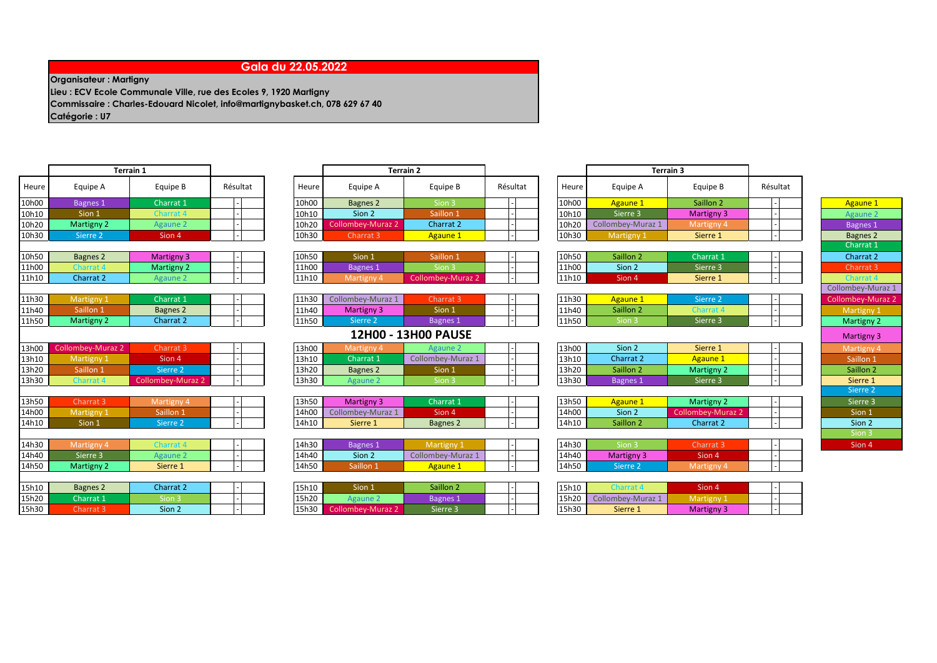## **Gala du 22.05.2022**

**Organisateur : Martigny**

**Lieu : ECV Ecole Communale Ville, rue des Ecoles 9, 1920 Martigny Commissaire : Charles-Edouard Nicolet, info@martignybasket.ch, 078 629 67 40 Catégorie : U7** 

10h00 Bagnes 1 Charrat 1 - 10h00 Bagnes Sion 3 - 10h00 Agaune 3 - Saillon 2 - 10h00 <mark>Saillon 2 - 10</mark> 10h10 Sion 1 - Charrat 4 - 10h10 Sion 2 - Saillon 1 - 10h10 Sierre 3 Martigny 3 - 10h10 Sierre 3 Martigny 3 - Agaune 2 10h20 Martigny 2 Agaune 2 - 10h20 Collombey-Muraz 2 Charrat 2 - 10h20 Collombey-Muraz 1 Martigny 4 - Bagnes 1 10h30 Sierre 2 | Sion 4 | | 10h30 Charrat 3 <mark>Agaune 1</mark> | 10h30 Martigny 1 Si<mark>erre 1 | | Bagnes 2</mark> 10h50 Bagnes 2 Martigny 3 - 10h50 Sion 1 - Saillon 1 - 10h50 Saillon 2 - Charrat 1 - Charrat 2 11h00 Charrat A Martigny 2 - 11h00 Bagnes Sion 3 - 11h00 Sion 2 - Sierre 3 - 1- Charrat 3 11h10 Charrat | Agaune | | | 11h10 Martigny Collombey-Muraz | | 11h10 Sion 4 Sierre 1 | | Charrat 4 11h30 Martigny 1 Charrat 1 - 11h30 Collombey-Muraz 1 Charrat 3 - 11h30 Agaune 1 - Sierre 2 - Collombey-Muraz 2 11h40 Saillon 1 Bagnes | | | 11h40 Martigny 3 Sion 1 | 11h40 Saillon 2 Charrat 4 | | Martigny 1 11h50 Martigny 2 Charrat 2 - 11h50 Sierre 2 Bagnes 1 - 11h50 Sion 3 Sierre 3 - 11h50 Sierre 3 - Martigny 2 13h50 Charrat 3 Martigny 4 - 13h50 Martigny 3 Charrat 1 - 13h50 Agaune 2 Martigny 2 - 1 Sierre 3 14h00 Martigny 1 Saillon 1 - 14h00 Collombey-Muraz 1 Sion 4 - 14h00 Sion 2 Collombey-Muraz 2 - Sion 1 14h10 Sion 1 Sierre 2 - 14h10 Sierre 1 Bagnes 2 - 14h10 Saillon 2 Charrat 2 - Sion 2 Heure | Equipe A | Equipe B | Résultat | | Heure | Equipe A | Equipe B | Résultat | | Heure

| Terrain 1 |                          |       |                   | <b>Terrain 2</b> |          |  |  |  |  |
|-----------|--------------------------|-------|-------------------|------------------|----------|--|--|--|--|
| Equipe B  | Résultat                 | Heure | Equipe A          | Equipe B         | Résultat |  |  |  |  |
| Charrat 1 | $\overline{\phantom{0}}$ | 10h00 | Bagnes 2          | Sion 3           |          |  |  |  |  |
| Charrat 4 | $\overline{\phantom{0}}$ | 10h10 | Sion 2            | Saillon 1        |          |  |  |  |  |
| Agaune 2  | $\overline{\phantom{0}}$ | 10h20 | Collombey-Muraz 2 | Charrat 2        |          |  |  |  |  |
| Sion 4    | $\overline{a}$           | 10h30 | Charrat 3         | Agaune 1         |          |  |  |  |  |

| 10h50 | Sion 1     | Saillon 1         | - |  |
|-------|------------|-------------------|---|--|
| 11h00 | Bagnes 1   | Sion 3            | - |  |
| 11h10 | Martigny 4 | Collombey-Muraz 2 | - |  |

| 11h30 | Collombey-Muraz 1 | Charrat 3       |  |
|-------|-------------------|-----------------|--|
| 11h40 | Martigny 3        | Sion 1          |  |
| 11h50 | Sierre 2          | <b>Bagnes 1</b> |  |

## **12H00 - 13H00 PAUSE**

| 13h00 |          | :harrat 3      |  |  | 13h00 |                 |                   |  | 13h00 | Sion 2    | Sierre 1        |  |           |
|-------|----------|----------------|--|--|-------|-----------------|-------------------|--|-------|-----------|-----------------|--|-----------|
| 13h10 |          | Sion 4         |  |  | 13h10 | Charrat         | Collombey-Muraz : |  | 13h10 | Charrat 2 |                 |  | Saillon 1 |
| 13h20 | aillon 1 | <b>Nerre</b> 2 |  |  | 13h20 | <b>Bagnes 2</b> | Sion 1            |  | 13h20 | Saillon 2 | <b>Martigny</b> |  | Saillon 2 |
| 13h30 |          |                |  |  | 13h30 |                 |                   |  | 13h30 | Bagnes :  | Sierre $\colon$ |  | Sierre 1  |

| 13h50 | Martigny 3        | Charrat 1 | - |  |
|-------|-------------------|-----------|---|--|
| 14h00 | Collombey-Muraz 1 | Sion 4    | - |  |
| 14h10 | Sierre 1          | Bagnes 2  | - |  |

| 14h30 | iviartigny |          |  |  | 14h30 | laones   | <b><i>Committee Services</i></b><br>. |  | 14h30 | : ۱۱on            | Charrat 3 | Sion 4 |
|-------|------------|----------|--|--|-------|----------|---------------------------------------|--|-------|-------------------|-----------|--------|
| 14h40 | Sierre 3   |          |  |  | 14h40 | Sion 2   | <b>Colle</b><br>nbev-Muraz            |  | 14h40 | <b>Martigny 3</b> | Sion      |        |
| 14h50 | Martigny 2 | Sierre 1 |  |  | 14h50 | aillon ! |                                       |  | 14h50 |                   |           |        |

| 15h10 | Bagnes 2  | Charrat 2 |  | 15h10 | Sion 1 | Saillon 2       |  | 15h10 |                   | Sion 4     |  |
|-------|-----------|-----------|--|-------|--------|-----------------|--|-------|-------------------|------------|--|
| 15h20 | Charrat 1 | ion       |  | 15h20 |        | <b>Bagnes</b>   |  | 15h20 | Collombey-Muraz 1 | —widi us…. |  |
| 15h30 | Charrat?  | Sion 2    |  | 15h30 |        | Sierre $\colon$ |  | 15h30 | Sierre :          | Martigny \ |  |

|       |                   | <b>Terrain 3</b> |          |  |
|-------|-------------------|------------------|----------|--|
| leure | Equipe A          | Equipe B         | Résultat |  |
| )h00  | <b>Agaune 1</b>   | Saillon 2        |          |  |
| )h10  | Sierre 3          | Martigny 3       |          |  |
| )h20  | Collombey-Muraz 1 | Martigny 4       | -        |  |
| 0h30  | Martigny 1        | Sierre 1         | -        |  |

| 10h50 | Saillon 2 | Charrat 1 | - |  |
|-------|-----------|-----------|---|--|
| 11h00 | Sion 2    | Sierre 3  | - |  |
| 11h10 | Sion 4    | Sierre 1  | - |  |

| 11h30 | Agaune 1  | Sierre 2  | - |  |
|-------|-----------|-----------|---|--|
| 11h40 | Saillon 2 | ∩harra† 4 | - |  |
| 11h50 | li∩n R    | Sierre 3  | - |  |

| 13h00 | Sion 2    | Sierre 1        | - |  |
|-------|-----------|-----------------|---|--|
| 13h10 | Charrat 2 | <b>Agaune 1</b> | - |  |
| 13h20 | Saillon 2 | Martigny 2      | ٠ |  |
| 13h30 | Bagnes 1  | Sierre 3        | - |  |

| - | <b>Martigny 2</b> | Agaune 1  | 13h50 |
|---|-------------------|-----------|-------|
| - | Collombey-Muraz 2 | Sion 2    | 14h00 |
|   | Charrat 2         | Saillon 2 | 14h10 |

| <b>30</b> | Sion 3     | Charrat 3  | - |  |
|-----------|------------|------------|---|--|
| 40        | Martigny 3 | Sion 4     | - |  |
| 50        | Sierre 2   | Martigny 4 | - |  |

| 5h10 | Charrat 4         | Sion 4            | $\overline{\phantom{a}}$ |  |
|------|-------------------|-------------------|--------------------------|--|
| 5h20 | Collombey-Muraz 1 | <b>Martigny 1</b> | -                        |  |
| 5h30 | Sierre 1          | Martigny 3        | -                        |  |

## Charrat 1 Collombey-Muraz 1 Martigny 3 Sierre 2 Sion<sub>3</sub>